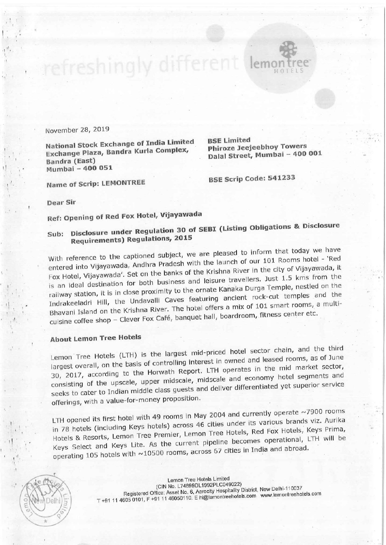November 28, <sup>2019</sup>

National Stock Exchange of India Limited BSE Limited<br>Phiroze Jeeleebhov Towers Exchange Plaza, Bandra Kurla Complex, Exchange Plaza, Bandra Kuria Compica, Dalal Street, Mumbai - 400 001 Mumbai - 400 051

Name of Scrip: LEMONTREE BSE Scrip Code: 541233

Dear Sir

Ref: Opening of Red Fox Hotel, Vijayawada

## Sub: Disclosure under Regulation 30 of SEBI (Listing Obligations & Disclosure Requirements) Regulations, <sup>2015</sup>

efreshingly different leme

With reference to the captioned subject, we are pleased to inform that today we have entered into Vijayawada, Andhra Pradesh with the launch of our 101 Rooms hotel - 'Red Fox Hotel, Vijayawada'. Set on the banks of the Krishna River in the city of Vijayawada, it is an ideal destination for both business and leisure travellers. Just 1.5 kms from the railway station, it is in close proximity to the ornate Kanaka Durga Temple, nestled on the Indrakeeladri Hill, the Undavalli Caves featuring ancient rock—cut temples and the Bhavani Island on the Krishna River. The hotel offers a mix of 101 smart rooms, a multicuisine coffee shop - Clever Fox Café, banquet hall, boardroom, fitness center etc.

## About Lemon Tree Hotels

Lemon Tree Hotels (LTH) is the largest mid—priced hotel sector chain, and the third largest overall, on the basis of controlling interest in owned and leased rooms, as of June 30, 2017, according to the Horwath Report. LTH operates in the mid market sector, consisting of the upscale, upper midscale, midscale and economy hotel segments and seeks to cater to lndian middle class guests and deliver differentiated yet superior service offerings, with a value-for-money proposition.

LTH opened its first hotel with 49 rooms in May 2004 and currently operate  $\sim$ 7900 rooms in <sup>78</sup> hotels (including Keys hotels) across <sup>46</sup> cities under its various brands viz. Aurika Hotels & Resorts, Lemon Tree Premier, Lemon Tree Hotels, Red Fox Hotels, Keys Prima, Keys Select and Keys Lite. As the current pipeline becomes operational, LTH will be operating 105 hotels with  $\sim$ 10500 rooms, across 67 cities in India and abroad.

Lemon Tree Hotels Limited (ClN No. L74899DL1992PL0049022) Registered Office: Asset No. 6, Aerocity Hospitality District, New Delhi-110037 T +91 11 4605 0101, F +91 11 46050110. E hi@lemontreehotels.com www.lemontreehotels.com